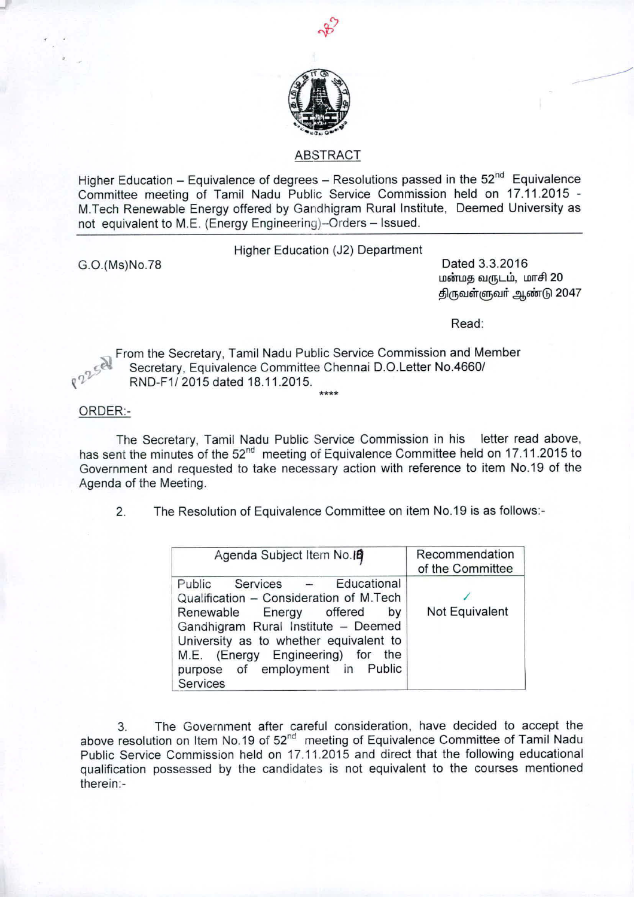

## ABSTRACT

Higher Education - Equivalence of degrees - Resolutions passed in the  $52<sup>nd</sup>$  Equivalence Committee meeting of Tamil Nadu Public Service Commission held on 17.11.2015 - M.Tech Renewable Energy offered by Gandhigram Rural Institute, Deemed University as not equivalent to M.E. (Energy Engineering)-Orders - Issued.

Higher Education (J2) Department

G.O.(Ms)No.78 Dated 3.3.2016 மன்மத வருடம், மாசி 20 திருவள்ளுவர் ஆண்டு 2047

Read:

From the Secretary, Tamil Nadu Public Service Commission and Member Secretary, Equivalence Committee Chennai D.O.Letter No.4660/ ~'J RND-F1/2015 dated 18.11.2015. **\*\*\*\***

ORDER:-

The Secretary, Tamil Nadu Public Service Commission in his letter read above, has sent the minutes of the 52<sup>nd</sup> meeting of Equivalence Committee held on 17.11.2015 to Government and requested to take necessary action with reference to item NO.19 of the Agenda of the Meeting.

2. The Resolution of Equivalence Committee on item NO.19 is as follows:-

| Agenda Subject Item No. 19                                                                                                                                                                                                                                                            | Recommendation<br>of the Committee |
|---------------------------------------------------------------------------------------------------------------------------------------------------------------------------------------------------------------------------------------------------------------------------------------|------------------------------------|
| Educational<br>Services –<br>Public<br>Qualification - Consideration of M.Tech<br>Renewable Energy offered<br>by<br>Gandhigram Rural Institute - Deemed<br>University as to whether equivalent to<br>M.E. (Energy Engineering) for the<br>purpose of employment in Public<br>Services | Not Equivalent                     |

3. The Government after careful consideration, have decided to accept the above resolution on Item No.19 of 52<sup>nd</sup> meeting of Equivalence Committee of Tamil Nadu Public Service Commission held on 17.11.2015 and direct that the following educational qualification possessed by the candidates is not equivalent to the courses mentioned therein:-